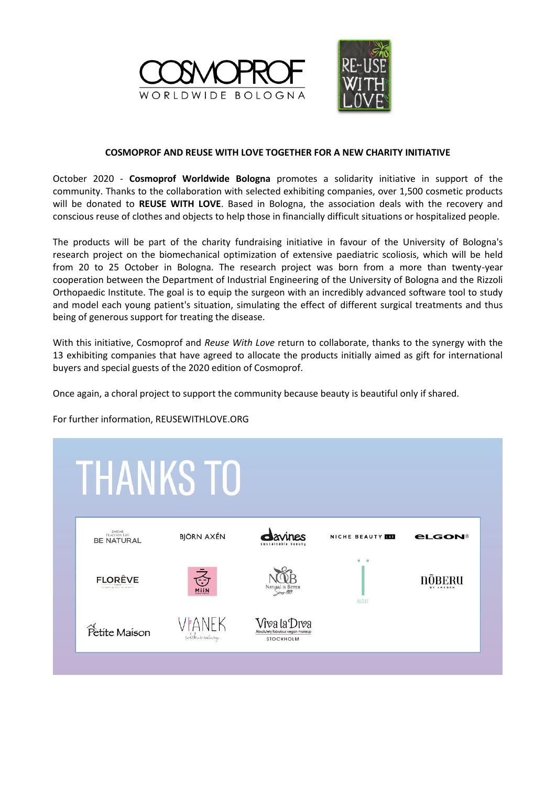



## **COSMOPROF AND REUSE WITH LOVE TOGETHER FOR A NEW CHARITY INITIATIVE**

October 2020 - **Cosmoprof Worldwide Bologna** promotes a solidarity initiative in support of the community. Thanks to the collaboration with selected exhibiting companies, over 1,500 cosmetic products will be donated to **REUSE WITH LOVE**. Based in Bologna, the association deals with the recovery and conscious reuse of clothes and objects to help those in financially difficult situations or hospitalized people.

The products will be part of the charity fundraising initiative in favour of the University of Bologna's research project on the biomechanical optimization of extensive paediatric scoliosis, which will be held from 20 to 25 October in Bologna. The research project was born from a more than twenty-year cooperation between the Department of Industrial Engineering of the University of Bologna and the Rizzoli Orthopaedic Institute. The goal is to equip the surgeon with an incredibly advanced software tool to study and model each young patient's situation, simulating the effect of different surgical treatments and thus being of generous support for treating the disease.

With this initiative, Cosmoprof and *Reuse With Love* return to collaborate, thanks to the synergy with the 13 exhibiting companies that have agreed to allocate the products initially aimed as gift for international buyers and special guests of the 2020 edition of Cosmoprof.

Once again, a choral project to support the community because beauty is beautiful only if shared.

For further information, REUSEWITHLOVE.ORG

## **THANKS TO BJÖRN AXÉN** NICHE BEAUTY **NO PLGON® BE NATURAL FLORÊVE NOBERU NATE** Vîva la Drva Petite Maison STOCKHOLM